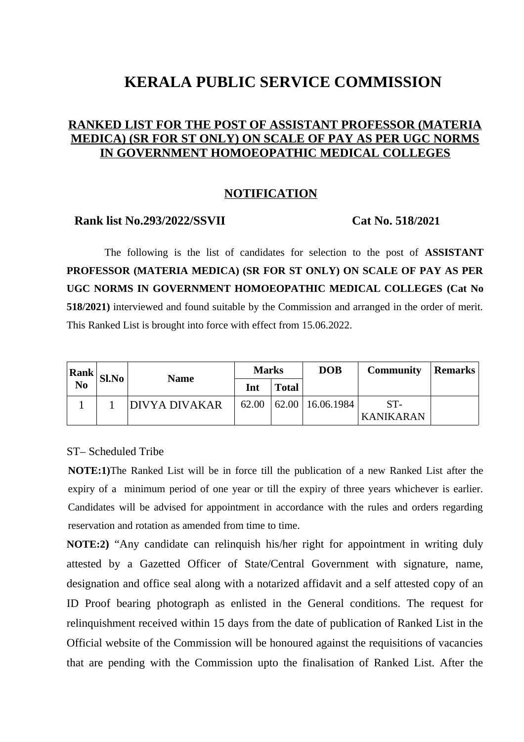# **KERALA PUBLIC SERVICE COMMISSION**

## **RANKED LIST FOR THE POST OF ASSISTANT PROFESSOR (MATERIA MEDICA) (SR FOR ST ONLY) ON SCALE OF PAY AS PER UGC NORMS IN GOVERNMENT HOMOEOPATHIC MEDICAL COLLEGES**

## **NOTIFICATION**

### **Rank list No.293/2022/SSVII Cat No. 518/2021**

The following is the list of candidates for selection to the post of **ASSISTANT PROFESSOR (MATERIA MEDICA) (SR FOR ST ONLY) ON SCALE OF PAY AS PER UGC NORMS IN GOVERNMENT HOMOEOPATHIC MEDICAL COLLEGES (Cat No 518/2021)** interviewed and found suitable by the Commission and arranged in the order of merit. This Ranked List is brought into force with effect from 15.06.2022.

| Rank                   | Sl.No | <b>Name</b>   | <b>Marks</b> |              | <b>DOB</b>              | <b>Community</b>        | Remarks |
|------------------------|-------|---------------|--------------|--------------|-------------------------|-------------------------|---------|
| $\overline{\text{No}}$ |       |               | Int          | <b>Total</b> |                         |                         |         |
|                        |       | DIVYA DIVAKAR | 62.00        |              | $62.00 \mid 16.06.1984$ | ST-<br><b>KANIKARAN</b> |         |

### ST– Scheduled Tribe

**NOTE:1)**The Ranked List will be in force till the publication of a new Ranked List after the expiry of a minimum period of one year or till the expiry of three years whichever is earlier. Candidates will be advised for appointment in accordance with the rules and orders regarding reservation and rotation as amended from time to time.

**NOTE:2)** "Any candidate can relinquish his/her right for appointment in writing duly attested by a Gazetted Officer of State/Central Government with signature, name, designation and office seal along with a notarized affidavit and a self attested copy of an ID Proof bearing photograph as enlisted in the General conditions. The request for relinquishment received within 15 days from the date of publication of Ranked List in the Official website of the Commission will be honoured against the requisitions of vacancies that are pending with the Commission upto the finalisation of Ranked List. After the